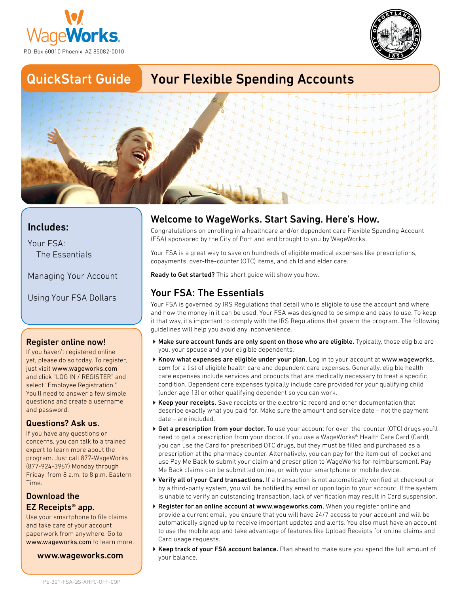



## QuickStart Guide

## Your Flexible Spending Accounts



#### Includes:

Your FSA: The Essentials

Managing Your Account

Using Your FSA Dollars

#### Register online now!

If you haven't registered online yet, please do so today. To register, just visit [www.wageworks.com](http://www.wageworks.com) and click "LOG IN / REGISTER" and select "Employee Registration." You'll need to answer a few simple questions and create a username and password.

#### Questions? Ask us.

If you have any questions or concerns, you can talk to a trained expert to learn more about the program. Just call 877-WageWorks (877-924-3967) Monday through Friday, from 8 a.m. to 8 p.m. Eastern Time.

#### Download the EZ Receipts® app.

Use your smartphone to file claims and take care of your account paperwork from anywhere. Go to [www.wageworks.com](http://www.wageworks.com) to learn more.

[www.wageworks.com](http://www.wageworks.com)

## Welcome to WageWorks. Start Saving. Here's How.

Congratulations on enrolling in a healthcare and/or dependent care Flexible Spending Account (FSA) sponsored by the City of Portland and brought to you by WageWorks.

Your FSA is a great way to save on hundreds of eligible medical expenses like prescriptions, copayments, over-the-counter (OTC) items, and child and elder care.

Ready to Get started? This short quide will show you how.

#### Your FSA: The Essentials

Your FSA is governed by IRS Regulations that detail who is eligible to use the account and where and how the money in it can be used. Your FSA was designed to be simple and easy to use. To keep it that way, it's important to comply with the IRS Regulations that govern the program. The following guidelines will help you avoid any inconvenience.

- Make sure account funds are only spent on those who are eligible. Typically, those eligible are you, your spouse and your eligible dependents.
- Know what expenses are eligible under your plan. Log in to your account at [www.wageworks.](http://www.wageworks.com) [com](http://www.wageworks.com) for a list of eligible health care and dependent care expenses. Generally, eligible health care expenses include services and products that are medically necessary to treat a specific condition. Dependent care expenses typically include care provided for your qualifying child (under age 13) or other qualifying dependent so you can work.
- ▶ Keep your receipts. Save receipts or the electronic record and other documentation that describe exactly what you paid for. Make sure the amount and service date – not the payment date – are included.
- ▶ Get a prescription from your doctor. To use your account for over-the-counter (OTC) drugs you'll need to get a prescription from your doctor. If you use a WageWorks® Health Care Card (Card), you can use the Card for prescribed OTC drugs, but they must be filled and purchased as a prescription at the pharmacy counter. Alternatively, you can pay for the item out-of-pocket and use Pay Me Back to submit your claim and prescription to WageWorks for reimbursement. Pay Me Back claims can be submitted online, or with your smartphone or mobile device.
- ▶ Verify all of your Card transactions. If a transaction is not automatically verified at checkout or by a third-party system, you will be notified by email or upon login to your account. If the system is unable to verify an outstanding transaction, lack of verification may result in Card suspension.
- ▶ Register for an online account at [www.wageworks.com](http://www.wageworks.com). When you register online and provide a current email, you ensure that you will have 24/7 access to your account and will be automatically signed up to receive important updates and alerts. You also must have an account to use the mobile app and take advantage of features like Upload Receipts for online claims and Card usage requests.
- ▶ Keep track of your FSA account balance. Plan ahead to make sure you spend the full amount of your balance.